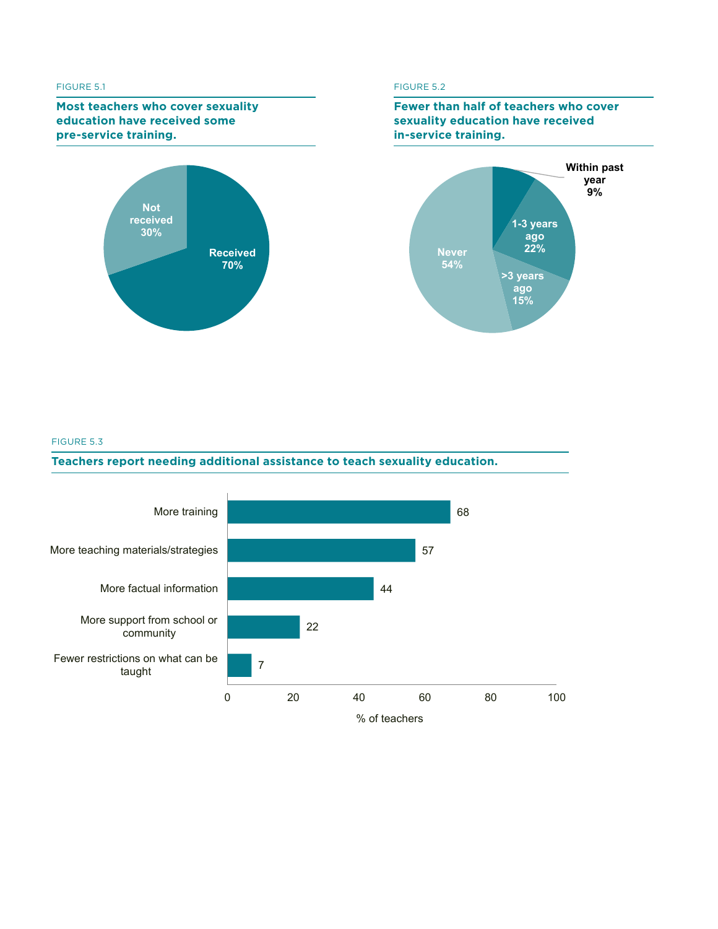#### FIGURE 5.1

### **FIGST teachers who cover sexuality**<br>education have received some **sexuality received** bome<br>a-corvice training **some pre-service training. pre-service training. Most teachers who cover sexuality**



# **FIGURE 5.2**





### FIGURE 5.3

## **FIGURE 5.3. Teachers report needing additional assistance to teach sexuality education. Teachers report needing additional assistance to teach sexuality education.**